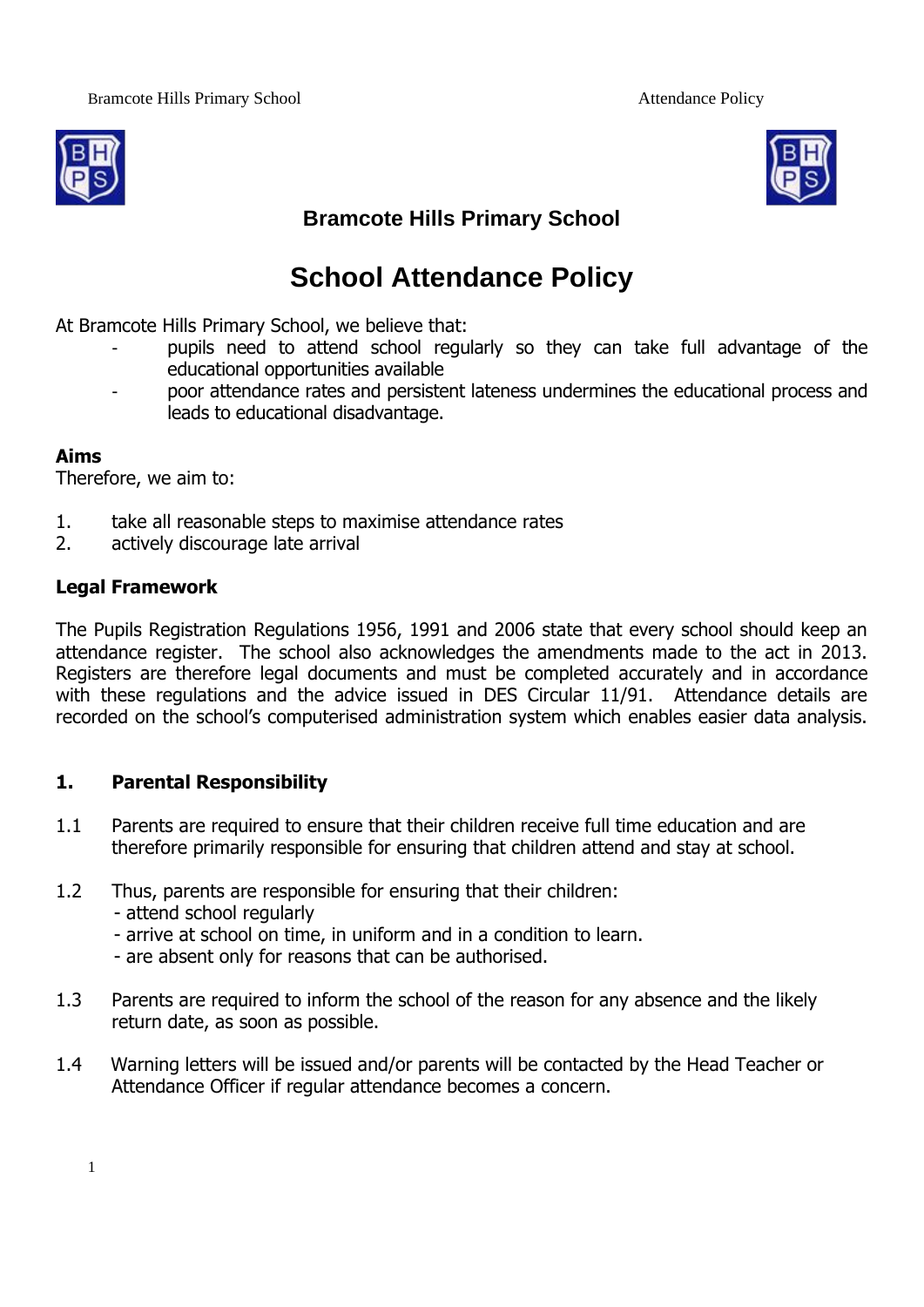



## **Bramcote Hills Primary School**

# **School Attendance Policy**

At Bramcote Hills Primary School, we believe that:

- pupils need to attend school regularly so they can take full advantage of the educational opportunities available
- poor attendance rates and persistent lateness undermines the educational process and leads to educational disadvantage.

#### **Aims**

Therefore, we aim to:

- 1. take all reasonable steps to maximise attendance rates
- 2. actively discourage late arrival

#### **Legal Framework**

The Pupils Registration Regulations 1956, 1991 and 2006 state that every school should keep an attendance register. The school also acknowledges the amendments made to the act in 2013. Registers are therefore legal documents and must be completed accurately and in accordance with these regulations and the advice issued in DES Circular 11/91. Attendance details are recorded on the school's computerised administration system which enables easier data analysis.

#### **1. Parental Responsibility**

- 1.1 Parents are required to ensure that their children receive full time education and are therefore primarily responsible for ensuring that children attend and stay at school.
- 1.2 Thus, parents are responsible for ensuring that their children:
	- attend school regularly
	- arrive at school on time, in uniform and in a condition to learn.
	- are absent only for reasons that can be authorised.
- 1.3 Parents are required to inform the school of the reason for any absence and the likely return date, as soon as possible.
- 1.4 Warning letters will be issued and/or parents will be contacted by the Head Teacher or Attendance Officer if regular attendance becomes a concern.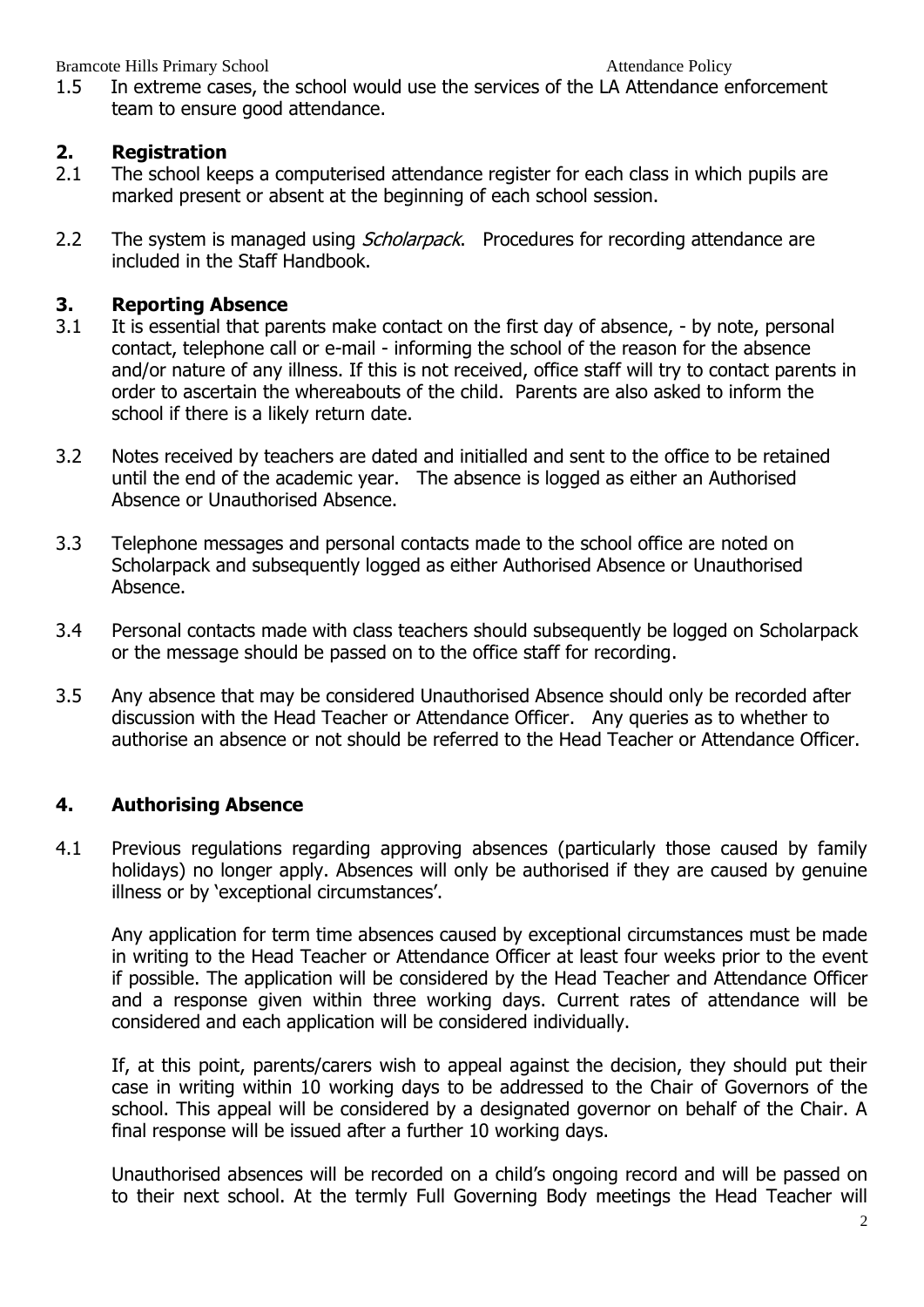1.5 In extreme cases, the school would use the services of the LA Attendance enforcement team to ensure good attendance.

#### **2. Registration**

- 2.1 The school keeps a computerised attendance register for each class in which pupils are marked present or absent at the beginning of each school session.
- 2.2 The system is managed using *Scholarpack*. Procedures for recording attendance are included in the Staff Handbook.

#### **3. Reporting Absence**

- 3.1 It is essential that parents make contact on the first day of absence, by note, personal contact, telephone call or e-mail - informing the school of the reason for the absence and/or nature of any illness. If this is not received, office staff will try to contact parents in order to ascertain the whereabouts of the child. Parents are also asked to inform the school if there is a likely return date.
- 3.2 Notes received by teachers are dated and initialled and sent to the office to be retained until the end of the academic year. The absence is logged as either an Authorised Absence or Unauthorised Absence.
- 3.3 Telephone messages and personal contacts made to the school office are noted on Scholarpack and subsequently logged as either Authorised Absence or Unauthorised Absence.
- 3.4 Personal contacts made with class teachers should subsequently be logged on Scholarpack or the message should be passed on to the office staff for recording.
- 3.5 Any absence that may be considered Unauthorised Absence should only be recorded after discussion with the Head Teacher or Attendance Officer. Any queries as to whether to authorise an absence or not should be referred to the Head Teacher or Attendance Officer.

### **4. Authorising Absence**

4.1 Previous regulations regarding approving absences (particularly those caused by family holidays) no longer apply. Absences will only be authorised if they are caused by genuine illness or by 'exceptional circumstances'.

Any application for term time absences caused by exceptional circumstances must be made in writing to the Head Teacher or Attendance Officer at least four weeks prior to the event if possible. The application will be considered by the Head Teacher and Attendance Officer and a response given within three working days. Current rates of attendance will be considered and each application will be considered individually.

If, at this point, parents/carers wish to appeal against the decision, they should put their case in writing within 10 working days to be addressed to the Chair of Governors of the school. This appeal will be considered by a designated governor on behalf of the Chair. A final response will be issued after a further 10 working days.

Unauthorised absences will be recorded on a child's ongoing record and will be passed on to their next school. At the termly Full Governing Body meetings the Head Teacher will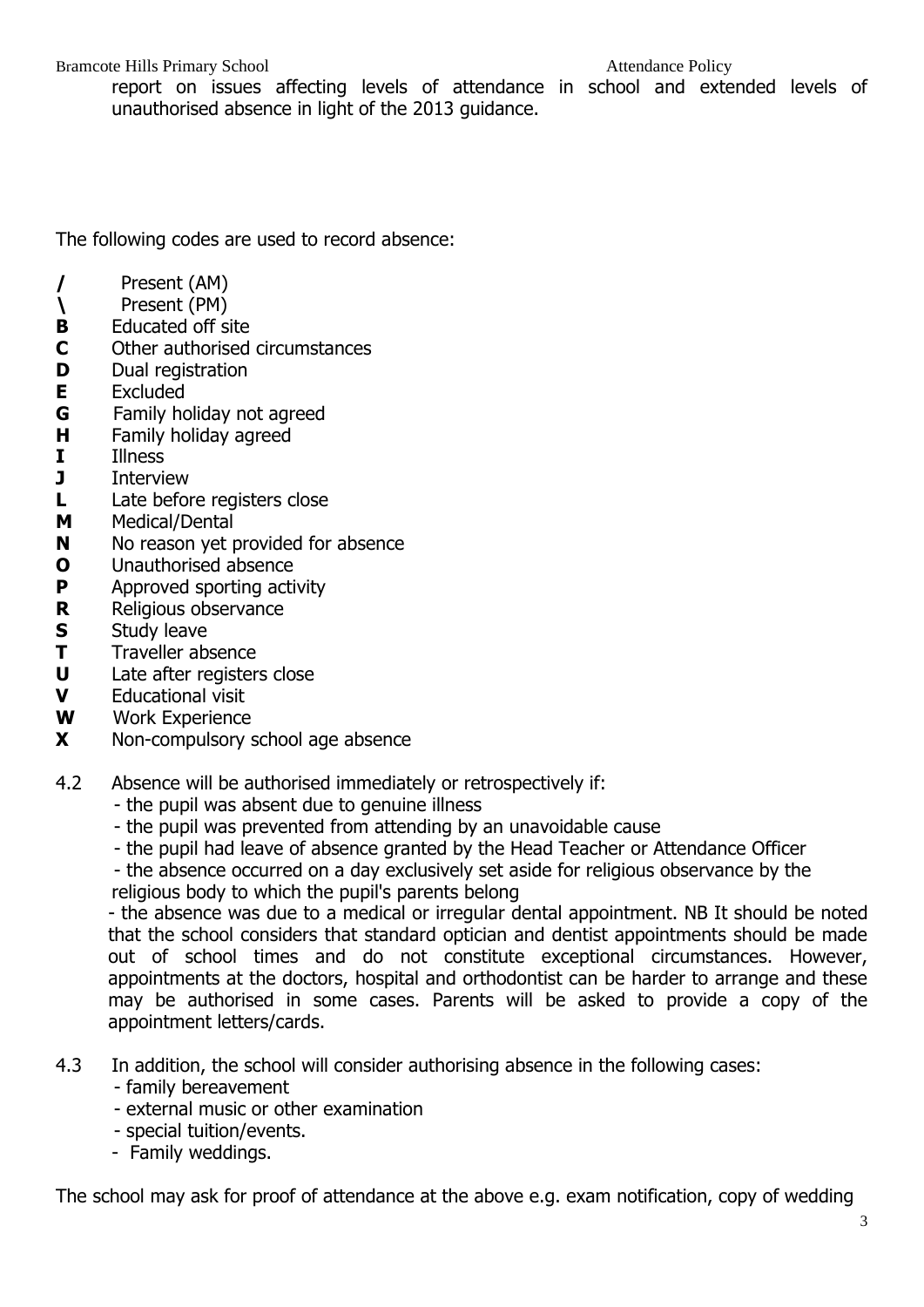report on issues affecting levels of attendance in school and extended levels of unauthorised absence in light of the 2013 guidance.

The following codes are used to record absence:

- **/** Present (AM)
- **\** Present (PM)
- **B** Educated off site
- **C** Other authorised circumstances
- **D** Dual registration
- **E** Excluded
- **G** Family holiday not agreed
- **H** Family holiday agreed
- **I** Illness
- **J** Interview
- **L** Late before registers close
- **M** Medical/Dental
- **N** No reason yet provided for absence
- **O** Unauthorised absence
- **P** Approved sporting activity
- **R** Religious observance
- **S** Study leave
- **T** Traveller absence
- **U** Late after registers close
- **V** Educational visit
- **W** Work Experience
- **X** Non-compulsory school age absence
- 4.2 Absence will be authorised immediately or retrospectively if:
	- the pupil was absent due to genuine illness
	- the pupil was prevented from attending by an unavoidable cause
	- the pupil had leave of absence granted by the Head Teacher or Attendance Officer

- the absence occurred on a day exclusively set aside for religious observance by the

religious body to which the pupil's parents belong

- the absence was due to a medical or irregular dental appointment. NB It should be noted that the school considers that standard optician and dentist appointments should be made out of school times and do not constitute exceptional circumstances. However, appointments at the doctors, hospital and orthodontist can be harder to arrange and these may be authorised in some cases. Parents will be asked to provide a copy of the appointment letters/cards.

- 4.3 In addition, the school will consider authorising absence in the following cases: - family bereavement
	- external music or other examination
	- special tuition/events.
	- Family weddings.

The school may ask for proof of attendance at the above e.g. exam notification, copy of wedding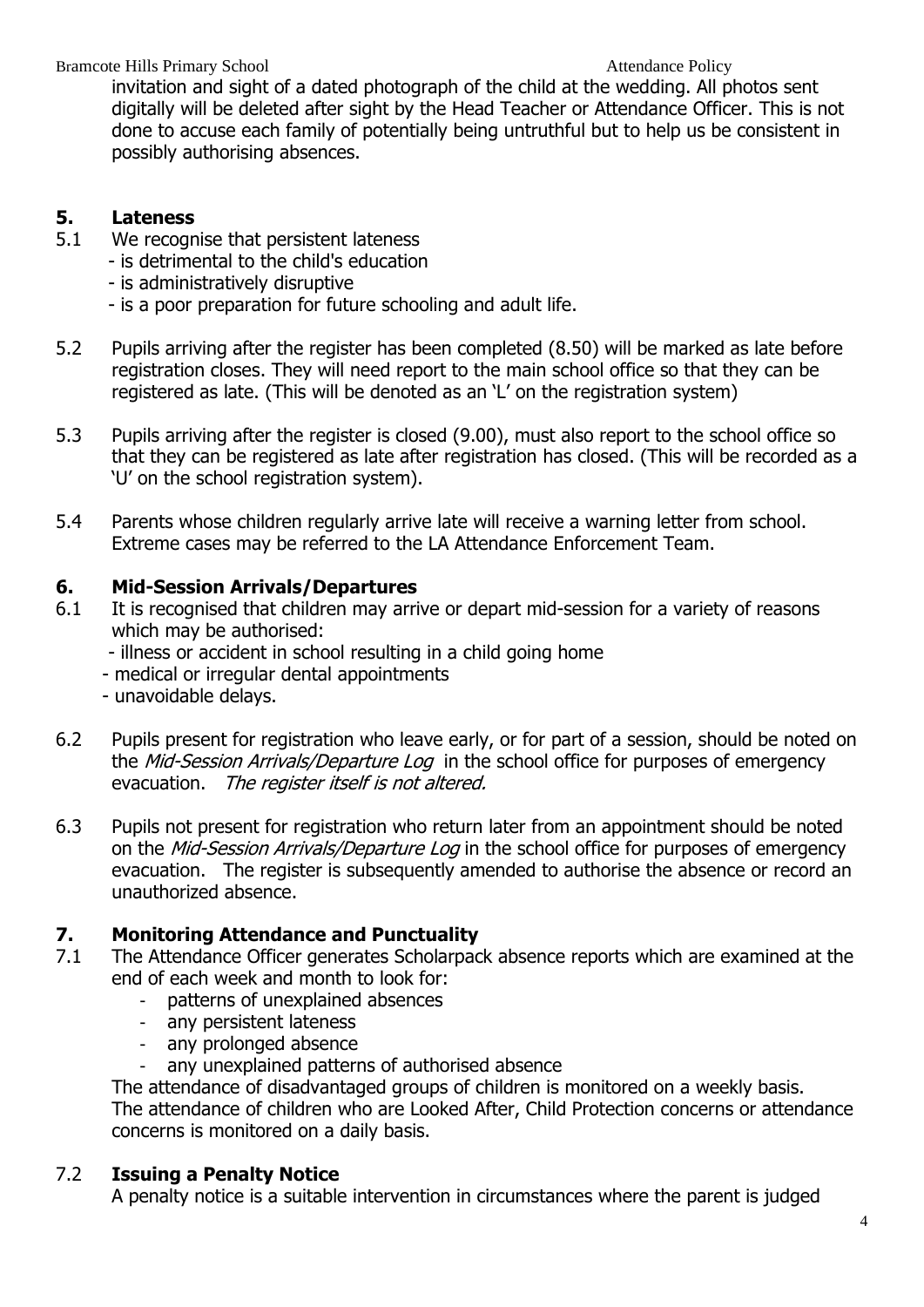Bramcote Hills Primary School **Attendance Policy Attendance Policy** 

invitation and sight of a dated photograph of the child at the wedding. All photos sent digitally will be deleted after sight by the Head Teacher or Attendance Officer. This is not done to accuse each family of potentially being untruthful but to help us be consistent in possibly authorising absences.

#### **5. Lateness**

- 5.1 We recognise that persistent lateness
	- is detrimental to the child's education
		- is administratively disruptive
		- is a poor preparation for future schooling and adult life.
- 5.2 Pupils arriving after the register has been completed (8.50) will be marked as late before registration closes. They will need report to the main school office so that they can be registered as late. (This will be denoted as an 'L' on the registration system)
- 5.3 Pupils arriving after the register is closed (9.00), must also report to the school office so that they can be registered as late after registration has closed. (This will be recorded as a 'U' on the school registration system).
- 5.4 Parents whose children regularly arrive late will receive a warning letter from school. Extreme cases may be referred to the LA Attendance Enforcement Team.

#### **6. Mid-Session Arrivals/Departures**

- 6.1 It is recognised that children may arrive or depart mid-session for a variety of reasons which may be authorised:
	- illness or accident in school resulting in a child going home
	- medical or irregular dental appointments
	- unavoidable delays.
- 6.2 Pupils present for registration who leave early, or for part of a session, should be noted on the Mid-Session Arrivals/Departure Log in the school office for purposes of emergency evacuation. The register itself is not altered.
- 6.3 Pupils not present for registration who return later from an appointment should be noted on the *Mid-Session Arrivals/Departure Log* in the school office for purposes of emergency evacuation. The register is subsequently amended to authorise the absence or record an unauthorized absence.

### **7. Monitoring Attendance and Punctuality**

- 7.1 The Attendance Officer generates Scholarpack absence reports which are examined at the end of each week and month to look for:
	- patterns of unexplained absences
	- any persistent lateness
	- any prolonged absence
	- any unexplained patterns of authorised absence

The attendance of disadvantaged groups of children is monitored on a weekly basis. The attendance of children who are Looked After, Child Protection concerns or attendance concerns is monitored on a daily basis.

#### 7.2 **Issuing a Penalty Notice**

A penalty notice is a suitable intervention in circumstances where the parent is judged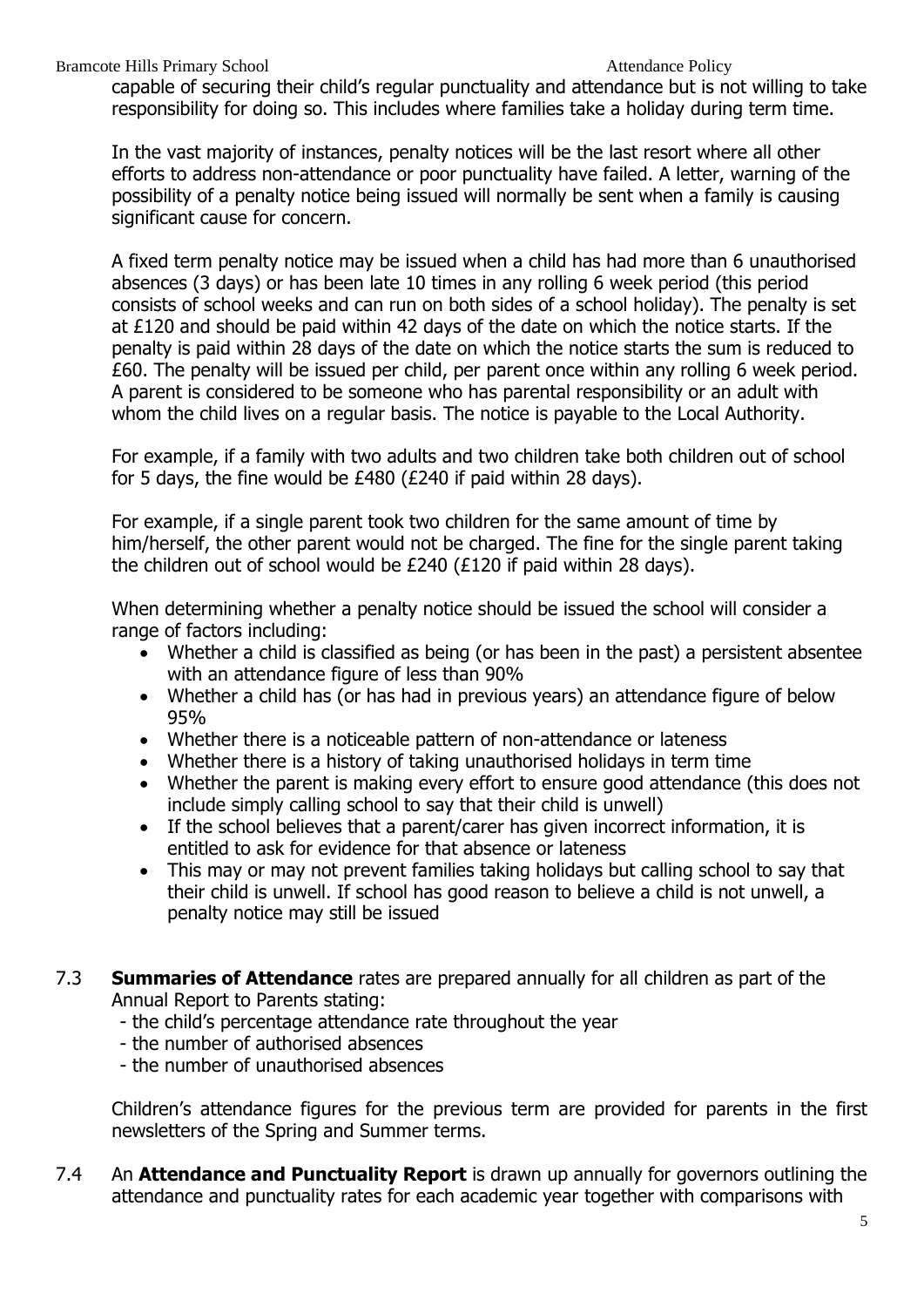capable of securing their child's regular punctuality and attendance but is not willing to take responsibility for doing so. This includes where families take a holiday during term time.

In the vast majority of instances, penalty notices will be the last resort where all other efforts to address non-attendance or poor punctuality have failed. A letter, warning of the possibility of a penalty notice being issued will normally be sent when a family is causing significant cause for concern.

A fixed term penalty notice may be issued when a child has had more than 6 unauthorised absences (3 days) or has been late 10 times in any rolling 6 week period (this period consists of school weeks and can run on both sides of a school holiday). The penalty is set at £120 and should be paid within 42 days of the date on which the notice starts. If the penalty is paid within 28 days of the date on which the notice starts the sum is reduced to £60. The penalty will be issued per child, per parent once within any rolling 6 week period. A parent is considered to be someone who has parental responsibility or an adult with whom the child lives on a regular basis. The notice is payable to the Local Authority.

For example, if a family with two adults and two children take both children out of school for 5 days, the fine would be £480 (£240 if paid within 28 days).

For example, if a single parent took two children for the same amount of time by him/herself, the other parent would not be charged. The fine for the single parent taking the children out of school would be £240 (£120 if paid within 28 days).

When determining whether a penalty notice should be issued the school will consider a range of factors including:

- Whether a child is classified as being (or has been in the past) a persistent absentee with an attendance figure of less than 90%
- Whether a child has (or has had in previous years) an attendance figure of below 95%
- Whether there is a noticeable pattern of non-attendance or lateness
- Whether there is a history of taking unauthorised holidays in term time
- Whether the parent is making every effort to ensure good attendance (this does not include simply calling school to say that their child is unwell)
- If the school believes that a parent/carer has given incorrect information, it is entitled to ask for evidence for that absence or lateness
- This may or may not prevent families taking holidays but calling school to say that their child is unwell. If school has good reason to believe a child is not unwell, a penalty notice may still be issued
- 7.3 **Summaries of Attendance** rates are prepared annually for all children as part of the Annual Report to Parents stating:
	- the child's percentage attendance rate throughout the year
	- the number of authorised absences
	- the number of unauthorised absences

Children's attendance figures for the previous term are provided for parents in the first newsletters of the Spring and Summer terms.

7.4 An **Attendance and Punctuality Report** is drawn up annually for governors outlining the attendance and punctuality rates for each academic year together with comparisons with